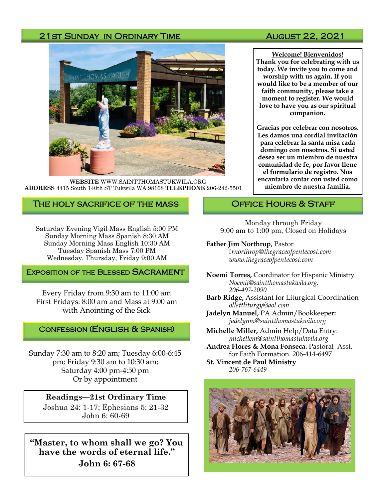#### 21st Sunday in Ordinary Time August 22, 2021



**WEBSITE** WWW.SAINTTHOMASTUKWILA.ORG **ADDRESS** 4415 South 140th ST Tukwila WA 98168 **TELEPHONE** 206-242-5501

#### The holy sacrifice of the mass

Saturday Evening Vigil Mass English 5:00 PM Sunday Morning Mass Spanish 8:30 AM Sunday Morning Mass English 10:30 AM Tuesday Spanish Mass 7:00 PM Wednesday, Thursday, Friday 9:00 AM

#### **EXPOSITION OF THE BLESSED SACRAMENT**

Every Friday from 9:30 am to 11:00 am First Fridays: 8:00 am and Mass at 9:00 am with Anointing of the Sick

#### Confession (English & Spanish)

Sunday 7:30 am to 8:20 am; Tuesday 6:00-6:45 pm; Friday 9:30 am to 10:30 am; Saturday 4:00 pm-4:50 pm Or by appointment

#### **Readings—21st Ordinary Time**  Joshua 24: 1-17; Ephesians 5: 21-32

John 6: 60-69

**"Master, to whom shall we go? You have the words of eternal life." John 6: 67-68**

**Welcome! Bienvenidos! Thank you for celebrating with us today. We invite you to come and worship with us again. If you would like to be a member of our faith community, please take a moment to register. We would love to have you as our spiritual companion.** 

**Gracias por celebrar con nosotros. Les damos una cordial invitación para celebrar la santa misa cada domingo con nosotros. Si usted desea ser un miembro de nuestra comunidad de fe, por favor llene el formulario de registro. Nos encantaría contar con usted como miembro de nuestra familia.**

#### OFFICE HOURS & STAFF

Monday through Friday 9:00 am to 1:00 pm, Closed on Holidays

#### **Father Jim Northrop,** Pastor

f*rnorthrop@thegraceofpentecost.com www.thegraceofpentecost.com* 

**Noemi Torres,** Coordinator for Hispanic Ministry *Noemit@saintthomastukwila.org, 206-497-2090*

**Barb Ridge,** Assistant for Liturgical Coordination *ollsttliturgy@aol.com*

**Jadelyn Manuel,** PA Admin/Bookkeeper**:**  *jadelynm@saintthomastukwila.org*

**Michelle Miller,** Admin Help/Data Entry: *michellem@saintthomastukwila.org*

**Andrea Flores & Mona Fonseca.** Pastoral Asst. for Faith Formation. 206-414-6497

**St. Vincent de Paul Ministry** *206-767-6449*

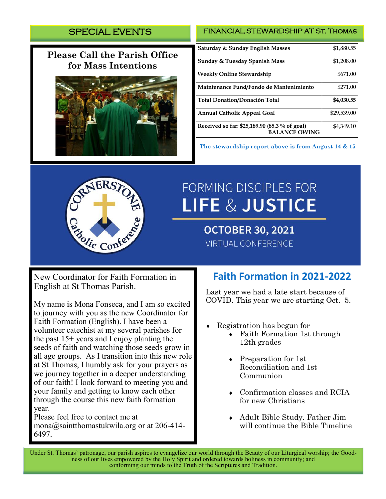# SPECIAL EVENTS

# **Please Call the Parish Office for Mass Intentions**



#### FINANCIAL STEWARDSHIP AT St. Thomas

| Saturday & Sunday English Masses                                      | \$1,880.55  |
|-----------------------------------------------------------------------|-------------|
| <b>Sunday &amp; Tuesday Spanish Mass</b>                              | \$1,208.00  |
| <b>Weekly Online Stewardship</b>                                      | \$671.00    |
| Maintenance Fund/Fondo de Mantenimiento                               | \$271.00    |
| <b>Total Donation/Donación Total</b>                                  | \$4,030.55  |
| <b>Annual Catholic Appeal Goal</b>                                    | \$29,539.00 |
| Received so far: \$25,189.90 (85.3 % of goal)<br><b>BALANCE OWING</b> | \$4,349.10  |

**The stewardship report above is from August 14 & 15**



# **FORMING DISCIPLES FOR LIFE & JUSTICE**

**OCTOBER 30, 2021 VIRTUAL CONFERENCE** 

New Coordinator for Faith Formation in English at St Thomas Parish.

My name is Mona Fonseca, and I am so excited to journey with you as the new Coordinator for Faith Formation (English). I have been a volunteer catechist at my several parishes for the past 15+ years and I enjoy planting the seeds of faith and watching those seeds grow in all age groups. As I transition into this new role at St Thomas, I humbly ask for your prayers as we journey together in a deeper understanding of our faith! I look forward to meeting you and your family and getting to know each other through the course this new faith formation year.

Please feel free to contact me at mona@saintthomastukwila.org or at 206-414- 6497.

# **Faith Formation in 2021-2022**

Last year we had a late start because of COVID. This year we are starting Oct. 5.

- Registration has begun for
	- Faith Formation 1st through 12th grades
	- Preparation for 1st Reconciliation and 1st Communion
	- Confirmation classes and RCIA for new Christians
	- Adult Bible Study. Father Jim will continue the Bible Timeline

Under St. Thomas' patronage, our parish aspires to evangelize our world through the Beauty of our Liturgical worship; the Goodness of our lives empowered by the Holy Spirit and ordered towards holiness in community; and conforming our minds to the Truth of the Scriptures and Tradition.